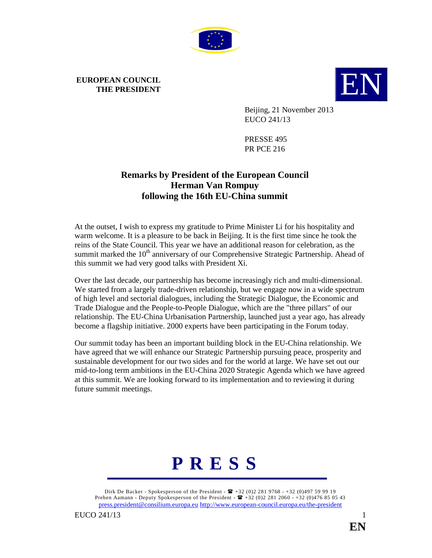

## **EUROPEAN COUNCIL**



Beijing, 21 November 2013 EUCO 241/13

PRESSE 495 PR PCE 216

## **Remarks by President of the European Council Herman Van Rompuy following the 16th EU-China summit**

At the outset, I wish to express my gratitude to Prime Minister Li for his hospitality and warm welcome. It is a pleasure to be back in Beijing. It is the first time since he took the reins of the State Council. This year we have an additional reason for celebration, as the summit marked the  $10<sup>th</sup>$  anniversary of our Comprehensive Strategic Partnership. Ahead of this summit we had very good talks with President Xi.

Over the last decade, our partnership has become increasingly rich and multi-dimensional. We started from a largely trade-driven relationship, but we engage now in a wide spectrum of high level and sectorial dialogues, including the Strategic Dialogue, the Economic and Trade Dialogue and the People-to-People Dialogue, which are the "three pillars" of our relationship. The EU-China Urbanisation Partnership, launched just a year ago, has already become a flagship initiative. 2000 experts have been participating in the Forum today.

Our summit today has been an important building block in the EU-China relationship. We have agreed that we will enhance our Strategic Partnership pursuing peace, prosperity and sustainable development for our two sides and for the world at large. We have set out our mid-to-long term ambitions in the EU-China 2020 Strategic Agenda which we have agreed at this summit. We are looking forward to its implementation and to reviewing it during future summit meetings.



Dirk De Backer - Spokesperson of the President -  $\mathbf{F}$  +32 (0)2 281 9768 - +32 (0)497 59 99 19 Preben Aamann - Deputy Spokesperson of the President -  $\mathbf{F}$  +32 (0)2 281 2060 - +32 (0)476 85 05 43 press.president@consilium.europa.eu http://www.european-council.europa.eu/the-president

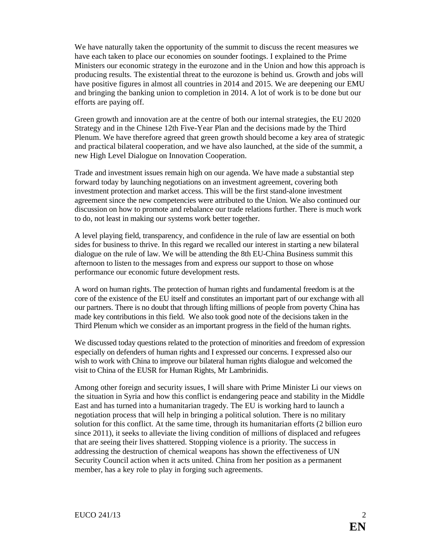We have naturally taken the opportunity of the summit to discuss the recent measures we have each taken to place our economies on sounder footings. I explained to the Prime Ministers our economic strategy in the eurozone and in the Union and how this approach is producing results. The existential threat to the eurozone is behind us. Growth and jobs will have positive figures in almost all countries in 2014 and 2015. We are deepening our EMU and bringing the banking union to completion in 2014. A lot of work is to be done but our efforts are paying off.

Green growth and innovation are at the centre of both our internal strategies, the EU 2020 Strategy and in the Chinese 12th Five-Year Plan and the decisions made by the Third Plenum. We have therefore agreed that green growth should become a key area of strategic and practical bilateral cooperation, and we have also launched, at the side of the summit, a new High Level Dialogue on Innovation Cooperation.

Trade and investment issues remain high on our agenda. We have made a substantial step forward today by launching negotiations on an investment agreement, covering both investment protection and market access. This will be the first stand-alone investment agreement since the new competencies were attributed to the Union. We also continued our discussion on how to promote and rebalance our trade relations further. There is much work to do, not least in making our systems work better together.

A level playing field, transparency, and confidence in the rule of law are essential on both sides for business to thrive. In this regard we recalled our interest in starting a new bilateral dialogue on the rule of law. We will be attending the 8th EU-China Business summit this afternoon to listen to the messages from and express our support to those on whose performance our economic future development rests.

A word on human rights. The protection of human rights and fundamental freedom is at the core of the existence of the EU itself and constitutes an important part of our exchange with all our partners. There is no doubt that through lifting millions of people from poverty China has made key contributions in this field. We also took good note of the decisions taken in the Third Plenum which we consider as an important progress in the field of the human rights.

We discussed today questions related to the protection of minorities and freedom of expression especially on defenders of human rights and I expressed our concerns. I expressed also our wish to work with China to improve our bilateral human rights dialogue and welcomed the visit to China of the EUSR for Human Rights, Mr Lambrinidis.

Among other foreign and security issues, I will share with Prime Minister Li our views on the situation in Syria and how this conflict is endangering peace and stability in the Middle East and has turned into a humanitarian tragedy. The EU is working hard to launch a negotiation process that will help in bringing a political solution. There is no military solution for this conflict. At the same time, through its humanitarian efforts (2 billion euro since 2011), it seeks to alleviate the living condition of millions of displaced and refugees that are seeing their lives shattered. Stopping violence is a priority. The success in addressing the destruction of chemical weapons has shown the effectiveness of UN Security Council action when it acts united. China from her position as a permanent member, has a key role to play in forging such agreements.